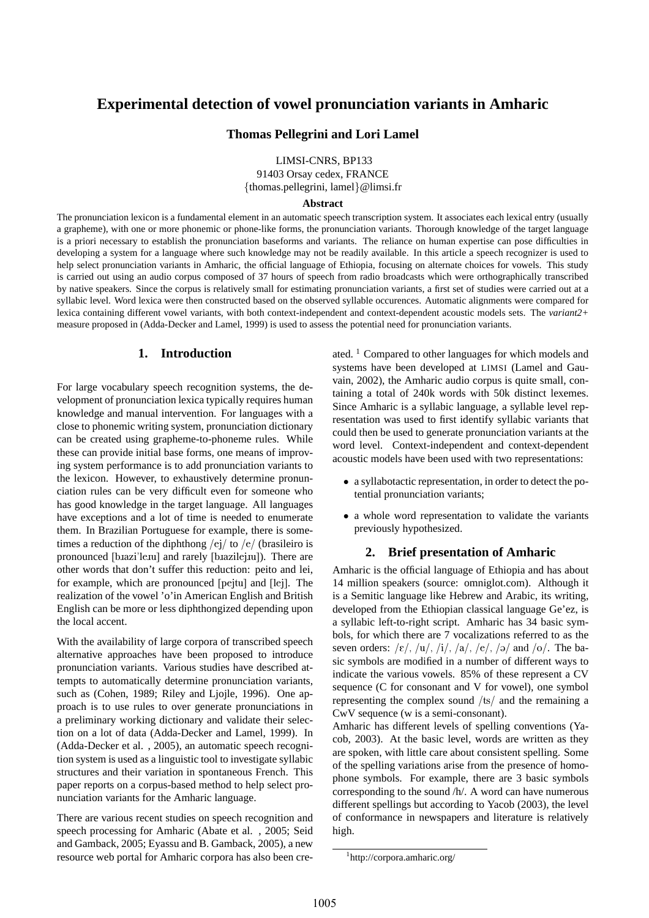# **Experimental detection of vowel pronunciation variants in Amharic**

### **Thomas Pellegrini and Lori Lamel**

LIMSI-CNRS, BP133

91403 Orsay cedex, FRANCE {thomas.pellegrini, lamel}@limsi.fr

### **Abstract**

The pronunciation lexicon is a fundamental element in an automatic speech transcription system. It associates each lexical entry (usually a grapheme), with one or more phonemic or phone-like forms, the pronunciation variants. Thorough knowledge of the target language is a priori necessary to establish the pronunciation baseforms and variants. The reliance on human expertise can pose difficulties in developing a system for a language where such knowledge may not be readily available. In this article a speech recognizer is used to help select pronunciation variants in Amharic, the official language of Ethiopia, focusing on alternate choices for vowels. This study is carried out using an audio corpus composed of 37 hours of speech from radio broadcasts which were orthographically transcribed by native speakers. Since the corpus is relatively small for estimating pronunciation variants, a first set of studies were carried out at a syllabic level. Word lexica were then constructed based on the observed syllable occurences. Automatic alignments were compared for lexica containing different vowel variants, with both context-independent and context-dependent acoustic models sets. The *variant2+* measure proposed in (Adda-Decker and Lamel, 1999) is used to assess the potential need for pronunciation variants.

### **1. Introduction**

For large vocabulary speech recognition systems, the development of pronunciation lexica typically requires human knowledge and manual intervention. For languages with a close to phonemic writing system, pronunciation dictionary can be created using grapheme-to-phoneme rules. While these can provide initial base forms, one means of improving system performance is to add pronunciation variants to the lexicon. However, to exhaustively determine pronunciation rules can be very difficult even for someone who has good knowledge in the target language. All languages have exceptions and a lot of time is needed to enumerate them. In Brazilian Portuguese for example, there is sometimes a reduction of the diphthong  $/e$ j/ to  $/e$ / (brasileiro is pronounced [bazi'leau] and rarely [bazilejau]). There are other words that don't suffer this reduction: peito and lei, for example, which are pronounced [pejtu] and [lej]. The realization of the vowel 'o'in American English and British English can be more or less diphthongized depending upon the local accent.

With the availability of large corpora of transcribed speech alternative approaches have been proposed to introduce pronunciation variants. Various studies have described attempts to automatically determine pronunciation variants, such as (Cohen, 1989; Riley and Ljojle, 1996). One approach is to use rules to over generate pronunciations in a preliminary working dictionary and validate their selection on a lot of data (Adda-Decker and Lamel, 1999). In (Adda-Decker et al. , 2005), an automatic speech recognition system is used as a linguistic tool to investigate syllabic structures and their variation in spontaneous French. This paper reports on a corpus-based method to help select pronunciation variants for the Amharic language.

There are various recent studies on speech recognition and speech processing for Amharic (Abate et al. , 2005; Seid and Gamback, 2005; Eyassu and B. Gamback, 2005), a new resource web portal for Amharic corpora has also been cre-

ated. <sup>1</sup> Compared to other languages for which models and systems have been developed at LIMSI (Lamel and Gauvain, 2002), the Amharic audio corpus is quite small, containing a total of 240k words with 50k distinct lexemes. Since Amharic is a syllabic language, a syllable level representation was used to first identify syllabic variants that could then be used to generate pronunciation variants at the word level. Context-independent and context-dependent acoustic models have been used with two representations:

- a syllabotactic representation, in order to detect the potential pronunciation variants;
- a whole word representation to validate the variants previously hypothesized.

# **2. Brief presentation of Amharic**

Amharic is the official language of Ethiopia and has about 14 million speakers (source: omniglot.com). Although it is a Semitic language like Hebrew and Arabic, its writing, developed from the Ethiopian classical language Ge'ez, is a syllabic left-to-right script. Amharic has 34 basic symbols, for which there are 7 vocalizations referred to as the seven orders:  $/\varepsilon$ ,  $/u$ ,  $/i$ ,  $/a$ ,  $/e$ ,  $/a$  and  $/o$ . The basic symbols are modified in a number of different ways to indicate the various vowels. 85% of these represent a CV sequence (C for consonant and V for vowel), one symbol representing the complex sound /ts/ and the remaining a CwV sequence (w is a semi-consonant).

Amharic has different levels of spelling conventions (Yacob, 2003). At the basic level, words are written as they are spoken, with little care about consistent spelling. Some of the spelling variations arise from the presence of homophone symbols. For example, there are 3 basic symbols corresponding to the sound /h/. A word can have numerous different spellings but according to Yacob (2003), the level of conformance in newspapers and literature is relatively high.

<sup>1</sup> http://corpora.amharic.org/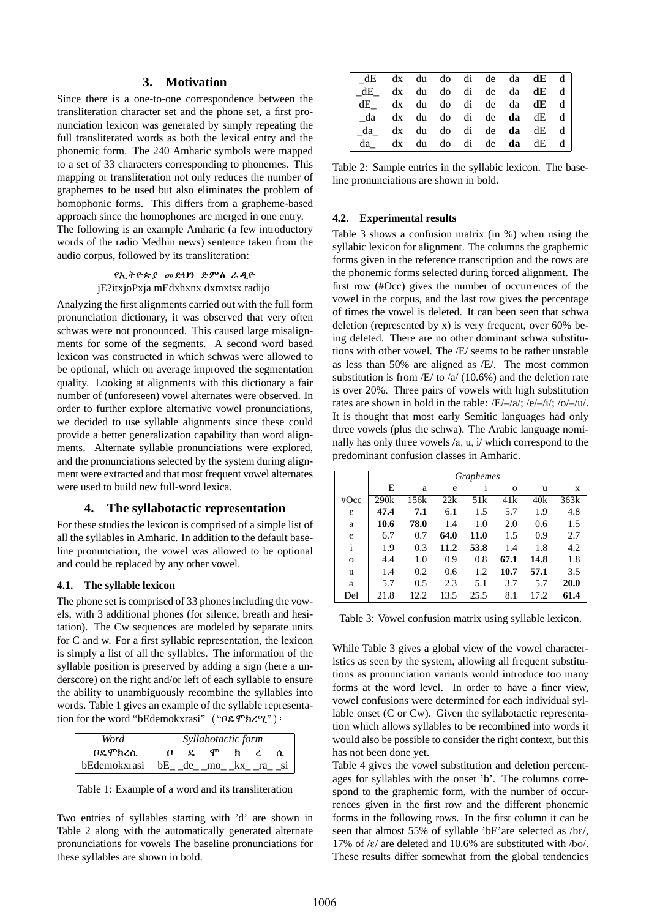# **3. Motivation**

Since there is a one-to-one correspondence between the transliteration character set and the phone set, a first pronunciation lexicon was generated by simply repeating the full transliterated words as both the lexical entry and the phonemic form. The 240 Amharic symbols were mapped to a set of 33 characters corresponding to phonemes. This mapping or transliteration not only reduces the number of graphemes to be used but also eliminates the problem of homophonic forms. This differs from a grapheme-based approach since the homophones are merged in one entry. The following is an example Amharic (a few introductory words of the radio Medhin news) sentence taken from the audio corpus, followed by its transliteration:

> የኢትዮጵ*ያ መ*ድህን ድምፅ ራዲዮ jE?itxjoPxja mEdxhxnx dxmxtsx radijo

Analyzing the first alignments carried out with the full form pronunciation dictionary, it was observed that very often schwas were not pronounced. This caused large misalignments for some of the segments. A second word based lexicon was constructed in which schwas were allowed to be optional, which on average improved the segmentation quality. Looking at alignments with this dictionary a fair number of (unforeseen) vowel alternates were observed. In order to further explore alternative vowel pronunciations, we decided to use syllable alignments since these could provide a better generalization capability than word alignments. Alternate syllable pronunciations were explored, and the pronunciations selected by the system during alignment were extracted and that most frequent vowel alternates were used to build new full-word lexica.

### **4. The syllabotactic representation**

For these studies the lexicon is comprised of a simple list of all the syllables in Amharic. In addition to the default baseline pronunciation, the vowel was allowed to be optional and could be replaced by any other vowel.

#### **4.1. The syllable lexicon**

The phone set is comprised of 33 phones including the vowels, with 3 additional phones (for silence, breath and hesitation). The Cw sequences are modeled by separate units for C and w. For a first syllabic representation, the lexicon is simply a list of all the syllables. The information of the syllable position is preserved by adding a sign (here a underscore) on the right and/or left of each syllable to ensure the ability to unambiguously recombine the syllables into words. Table 1 gives an example of the syllable representation for the word "bEdemokxrasi"  $(\P{OR}$ Th $\P{P}$ ):

| Word    | Syllabotactic form                                |  |  |  |  |  |
|---------|---------------------------------------------------|--|--|--|--|--|
| ቦዴ ሞክረሲ | $P_-\_$ $R_-\_$ $P_-\_$ $h_-\_$ $L_-\_$ $\_$      |  |  |  |  |  |
|         | $b$ Edemokxrasi   $bE$ <sub>-de</sub> _mo _kx _ra |  |  |  |  |  |

Table 1: Example of a word and its transliteration

Two entries of syllables starting with 'd' are shown in Table 2 along with the automatically generated alternate pronunciations for vowels The baseline pronunciations for these syllables are shown in bold.

| $\vert$ dE dx du do di de da <b>dE</b> d $\vert$                                               |  |  |  |  |
|------------------------------------------------------------------------------------------------|--|--|--|--|
| $\vert$ $dE$ dx du do di de da d <b>E</b> d $\vert$                                            |  |  |  |  |
| $\left  \begin{array}{cccc} dE_{-} & dx & du & do & di & de & da & dE & d \end{array} \right $ |  |  |  |  |
| $\int da \, dx \, du \, do \, di \, de \, da \, dE \, d\$                                      |  |  |  |  |
| $\int da$ dx du do di de <b>da</b> dE d                                                        |  |  |  |  |
| $\begin{vmatrix} da \end{vmatrix}$ dx du do di de <b>da</b> dE d                               |  |  |  |  |

Table 2: Sample entries in the syllabic lexicon. The baseline pronunciations are shown in bold.

### **4.2. Experimental results**

Table 3 shows a confusion matrix (in %) when using the syllabic lexicon for alignment. The columns the graphemic forms given in the reference transcription and the rows are the phonemic forms selected during forced alignment. The first row (#Occ) gives the number of occurrences of the vowel in the corpus, and the last row gives the percentage of times the vowel is deleted. It can been seen that schwa deletion (represented by x) is very frequent, over 60% being deleted. There are no other dominant schwa substitutions with other vowel. The /E/ seems to be rather unstable as less than 50% are aligned as /E/. The most common substitution is from  $/E/$  to  $/a/$  (10.6%) and the deletion rate is over 20%. Three pairs of vowels with high substitution rates are shown in bold in the table:  $/E/-/a$ ;  $/e/-/i$ ;  $/o/-/u$ . It is thought that most early Semitic languages had only three vowels (plus the schwa). The Arabic language nominally has only three vowels /a, u, i/ which correspond to the predominant confusion classes in Amharic.

|              | <b>Graphemes</b> |       |      |                 |              |      |      |  |
|--------------|------------------|-------|------|-----------------|--------------|------|------|--|
|              | E                | a     | e    | 1               | $\mathbf{O}$ | u    | X    |  |
| #Occ         | 290k             | 156k  | 22k  | 51 <sub>k</sub> | 41k          | 40k  | 363k |  |
| ε            | 47.4             | 7.1   | 6.1  | 1.5             | 5.7          | 1.9  | 4.8  |  |
| а            | 10.6             | 78.0  | 1.4  | 1.0             | 2.0          | 0.6  | 1.5  |  |
| e            | 6.7              | 0.7   | 64.0 | 11.0            | 1.5          | 0.9  | 2.7  |  |
| $\mathbf{i}$ | 1.9              | 0.3   | 11.2 | 53.8            | 1.4          | 1.8  | 4.2  |  |
| $\mathbf{o}$ | 4.4              | 1.0   | 0.9  | 0.8             | 67.1         | 14.8 | 1.8  |  |
| u            | 1.4              | 0.2   | 0.6  | 1.2             | 10.7         | 57.1 | 3.5  |  |
| $\Theta$     | 5.7              | 0.5   | 2.3  | 5.1             | 3.7          | 5.7  | 20.0 |  |
| Del          | 21.8             | 12.2. | 13.5 | 25.5            | 8.1          | 17.2 | 61.4 |  |

Table 3: Vowel confusion matrix using syllable lexicon.

While Table 3 gives a global view of the vowel characteristics as seen by the system, allowing all frequent substitutions as pronunciation variants would introduce too many forms at the word level. In order to have a finer view, vowel confusions were determined for each individual syllable onset (C or Cw). Given the syllabotactic representation which allows syllables to be recombined into words it would also be possible to consider the right context, but this has not been done yet.

Table 4 gives the vowel substitution and deletion percentages for syllables with the onset 'b'. The columns correspond to the graphemic form, with the number of occurrences given in the first row and the different phonemic forms in the following rows. In the first column it can be seen that almost 55% of syllable 'bE'are selected as /b $\varepsilon$ /, 17% of  $\kappa$  are deleted and 10.6% are substituted with /bo/. These results differ somewhat from the global tendencies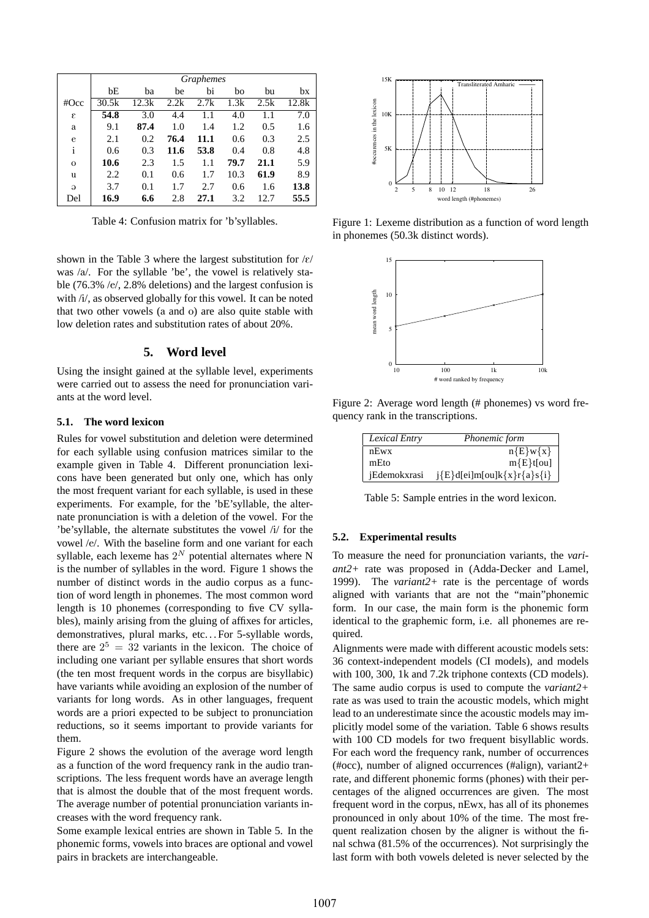|              | <i>Graphemes</i> |       |      |      |      |      |       |
|--------------|------------------|-------|------|------|------|------|-------|
|              | bE               | ba    | be   | bi   | bo   | bu   | bx    |
| #Occ         | 30.5k            | 12.3k | 2.2k | 2.7k | 1.3k | 2.5k | 12.8k |
| ε            | 54.8             | 3.0   | 4.4  | 1.1  | 4.0  | 1.1  | 7.0   |
| a            | 9.1              | 87.4  | 1.0  | 1.4  | 1.2  | 0.5  | 1.6   |
| e            | 2.1              | 0.2   | 76.4 | 11.1 | 0.6  | 0.3  | 2.5   |
| i            | 0.6              | 0.3   | 11.6 | 53.8 | 0.4  | 0.8  | 4.8   |
| $\mathbf{O}$ | 10.6             | 2.3   | 1.5  | 1.1  | 79.7 | 21.1 | 5.9   |
| u            | 2.2              | 0.1   | 0.6  | 1.7  | 10.3 | 61.9 | 8.9   |
| $\Theta$     | 3.7              | 0.1   | 1.7  | 2.7  | 0.6  | 1.6  | 13.8  |
| Del          | 16.9             | 6.6   | 2.8  | 27.1 | 3.2  | 12.7 | 55.5  |

Table 4: Confusion matrix for 'b'syllables.

shown in the Table 3 where the largest substitution for  $\frac{\xi}{\xi}$ was /a/. For the syllable 'be', the vowel is relatively stable (76.3% /e/, 2.8% deletions) and the largest confusion is with /i/, as observed globally for this vowel. It can be noted that two other vowels (a and o) are also quite stable with low deletion rates and substitution rates of about 20%.

# **5. Word level**

Using the insight gained at the syllable level, experiments were carried out to assess the need for pronunciation variants at the word level.

### **5.1. The word lexicon**

Rules for vowel substitution and deletion were determined for each syllable using confusion matrices similar to the example given in Table 4. Different pronunciation lexicons have been generated but only one, which has only the most frequent variant for each syllable, is used in these experiments. For example, for the 'bE'syllable, the alternate pronunciation is with a deletion of the vowel. For the 'be'syllable, the alternate substitutes the vowel /i/ for the vowel /e/. With the baseline form and one variant for each syllable, each lexeme has  $2^N$  potential alternates where N is the number of syllables in the word. Figure 1 shows the number of distinct words in the audio corpus as a function of word length in phonemes. The most common word length is 10 phonemes (corresponding to five CV syllables), mainly arising from the gluing of affixes for articles, demonstratives, plural marks, etc... For 5-syllable words, there are  $2^5 = 32$  variants in the lexicon. The choice of including one variant per syllable ensures that short words (the ten most frequent words in the corpus are bisyllabic) have variants while avoiding an explosion of the number of variants for long words. As in other languages, frequent words are a priori expected to be subject to pronunciation reductions, so it seems important to provide variants for them.

Figure 2 shows the evolution of the average word length as a function of the word frequency rank in the audio transcriptions. The less frequent words have an average length that is almost the double that of the most frequent words. The average number of potential pronunciation variants increases with the word frequency rank.

Some example lexical entries are shown in Table 5. In the phonemic forms, vowels into braces are optional and vowel pairs in brackets are interchangeable.



Figure 1: Lexeme distribution as a function of word length in phonemes (50.3k distinct words).



Figure 2: Average word length (# phonemes) vs word frequency rank in the transcriptions.

| Lexical Entry | Phonemic form                                    |
|---------------|--------------------------------------------------|
| $nE$ wx       | $n{E}w{x}$                                       |
| mEto          | $m{E}$ t[ou]                                     |
| iEdemokxrasi  | $j\{E\}$ d[ei]m[ou]k $\{x\}$ r $\{a\}$ s $\{i\}$ |

Table 5: Sample entries in the word lexicon.

#### **5.2. Experimental results**

To measure the need for pronunciation variants, the *variant2+* rate was proposed in (Adda-Decker and Lamel, 1999). The *variant2+* rate is the percentage of words aligned with variants that are not the "main"phonemic form. In our case, the main form is the phonemic form identical to the graphemic form, i.e. all phonemes are required.

Alignments were made with different acoustic models sets: 36 context-independent models (CI models), and models with 100, 300, 1k and 7.2k triphone contexts (CD models). The same audio corpus is used to compute the *variant2+* rate as was used to train the acoustic models, which might lead to an underestimate since the acoustic models may implicitly model some of the variation. Table 6 shows results with 100 CD models for two frequent bisyllablic words. For each word the frequency rank, number of occurrences (#occ), number of aligned occurrences (#align), variant2+ rate, and different phonemic forms (phones) with their percentages of the aligned occurrences are given. The most frequent word in the corpus, nEwx, has all of its phonemes pronounced in only about 10% of the time. The most frequent realization chosen by the aligner is without the final schwa (81.5% of the occurrences). Not surprisingly the last form with both vowels deleted is never selected by the